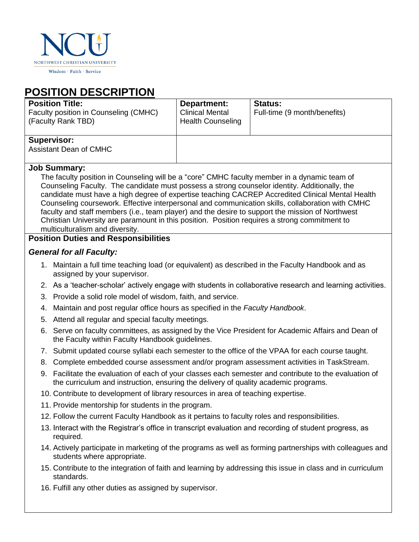

Wisdom · Faith · Service

# **POSITION DESCRIPTION**

| <b>Position Title:</b><br>Faculty position in Counseling (CMHC)<br>(Faculty Rank TBD) | Department:<br><b>Clinical Mental</b><br><b>Health Counseling</b> | <b>Status:</b><br>Full-time (9 month/benefits) |
|---------------------------------------------------------------------------------------|-------------------------------------------------------------------|------------------------------------------------|
| <b>Supervisor:</b><br><b>Assistant Dean of CMHC</b>                                   |                                                                   |                                                |

#### **Job Summary:**

The faculty position in Counseling will be a "core" CMHC faculty member in a dynamic team of Counseling Faculty. The candidate must possess a strong counselor identity. Additionally, the candidate must have a high degree of expertise teaching CACREP Accredited Clinical Mental Health Counseling coursework. Effective interpersonal and communication skills, collaboration with CMHC faculty and staff members (i.e., team player) and the desire to support the mission of Northwest Christian University are paramount in this position. Position requires a strong commitment to multiculturalism and diversity.

## **Position Duties and Responsibilities**

#### *General for all Faculty:*

- 1. Maintain a full time teaching load (or equivalent) as described in the Faculty Handbook and as assigned by your supervisor.
- 2. As a 'teacher-scholar' actively engage with students in collaborative research and learning activities.
- 3. Provide a solid role model of wisdom, faith, and service.
- 4. Maintain and post regular office hours as specified in the *Faculty Handbook*.
- 5. Attend all regular and special faculty meetings.
- 6. Serve on faculty committees, as assigned by the Vice President for Academic Affairs and Dean of the Faculty within Faculty Handbook guidelines.
- 7. Submit updated course syllabi each semester to the office of the VPAA for each course taught.
- 8. Complete embedded course assessment and/or program assessment activities in TaskStream.
- 9. Facilitate the evaluation of each of your classes each semester and contribute to the evaluation of the curriculum and instruction, ensuring the delivery of quality academic programs.
- 10. Contribute to development of library resources in area of teaching expertise.
- 11. Provide mentorship for students in the program.
- 12. Follow the current Faculty Handbook as it pertains to faculty roles and responsibilities.
- 13. Interact with the Registrar's office in transcript evaluation and recording of student progress, as required.
- 14. Actively participate in marketing of the programs as well as forming partnerships with colleagues and students where appropriate.
- 15. Contribute to the integration of faith and learning by addressing this issue in class and in curriculum standards.
- 16. Fulfill any other duties as assigned by supervisor.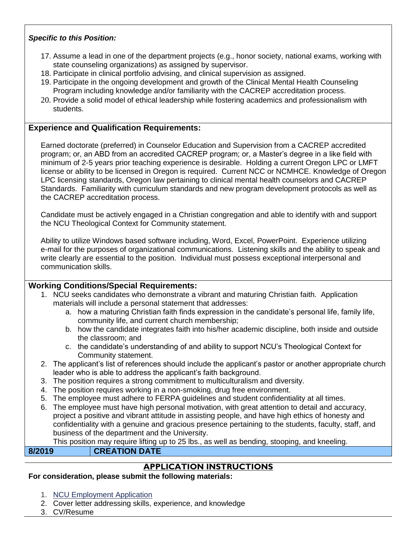#### *Specific to this Position:*

- 17. Assume a lead in one of the department projects (e.g., honor society, national exams, working with state counseling organizations) as assigned by supervisor.
- 18. Participate in clinical portfolio advising, and clinical supervision as assigned.
- 19. Participate in the ongoing development and growth of the Clinical Mental Health Counseling Program including knowledge and/or familiarity with the CACREP accreditation process.
- 20. Provide a solid model of ethical leadership while fostering academics and professionalism with students.

#### **Experience and Qualification Requirements:**

Earned doctorate (preferred) in Counselor Education and Supervision from a CACREP accredited program; or, an ABD from an accredited CACREP program; or, a Master's degree in a like field with minimum of 2-5 years prior teaching experience is desirable. Holding a current Oregon LPC or LMFT license or ability to be licensed in Oregon is required. Current NCC or NCMHCE. Knowledge of Oregon LPC licensing standards, Oregon law pertaining to clinical mental health counselors and CACREP Standards. Familiarity with curriculum standards and new program development protocols as well as the CACREP accreditation process.

Candidate must be actively engaged in a Christian congregation and able to identify with and support the NCU Theological Context for Community statement.

Ability to utilize Windows based software including, Word, Excel, PowerPoint. Experience utilizing e-mail for the purposes of organizational communications. Listening skills and the ability to speak and write clearly are essential to the position. Individual must possess exceptional interpersonal and communication skills.

#### **Working Conditions/Special Requirements:**

- 1. NCU seeks candidates who demonstrate a vibrant and maturing Christian faith. Application materials will include a personal statement that addresses:
	- a. how a maturing Christian faith finds expression in the candidate's personal life, family life, community life, and current church membership;
	- b. how the candidate integrates faith into his/her academic discipline, both inside and outside the classroom; and
	- c. the candidate's understanding of and ability to support NCU's Theological Context for Community statement.
- 2. The applicant's list of references should include the applicant's pastor or another appropriate church leader who is able to address the applicant's faith background.
- 3. The position requires a strong commitment to multiculturalism and diversity.
- 4. The position requires working in a non-smoking, drug free environment.
- 5. The employee must adhere to FERPA guidelines and student confidentiality at all times.
- 6. The employee must have high personal motivation, with great attention to detail and accuracy, project a positive and vibrant attitude in assisting people, and have high ethics of honesty and confidentiality with a genuine and gracious presence pertaining to the students, faculty, staff, and business of the department and the University.

This position may require lifting up to 25 lbs., as well as bending, stooping, and kneeling.

### **8/2019 CREATION DATE**

# **APPLICATION INSTRUCTIONS**

#### **For consideration, please submit the following materials:**

- 1. [NCU Employment Application](http://www.nwcu.edu/wp-content/uploads/2016/05/NCU-Employment-Application.pdf)
- 2. Cover letter addressing skills, experience, and knowledge
- 3. CV/Resume